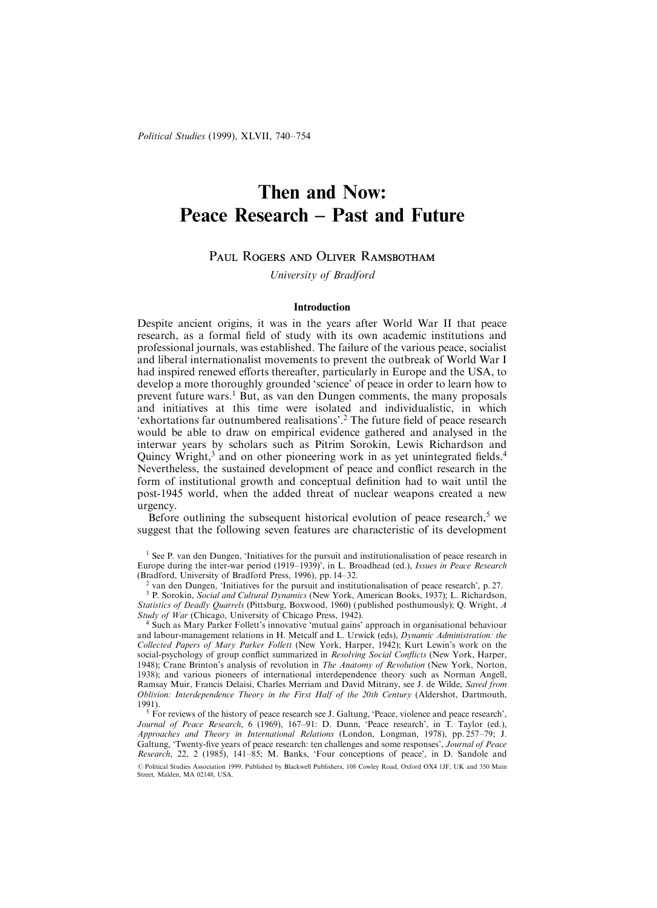# **Then and Now: Peace Research - Past and Future**

## PAUL ROGERS AND OLIVER RAMSBOTHAM

University of Bradford

#### **Introduction**

Despite ancient origins, it was in the years after World War II that peace research, as a formal field of study with its own academic institutions and professional journals, was established. The failure of the various peace, socialist and liberal internationalist movements to prevent the outbreak of World War I had inspired renewed efforts thereafter, particularly in Europe and the USA, to develop a more thoroughly grounded 'science' of peace in order to learn how to prevent future wars.<sup>1</sup> But, as van den Dungen comments, the many proposals and initiatives at this time were isolated and individualistic, in which 'exhortations far outnumbered realisations'.<sup>2</sup> The future field of peace research would be able to draw on empirical evidence gathered and analysed in the interwar years by scholars such as Pitrim Sorokin, Lewis Richardson and Quincy Wright,<sup>3</sup> and on other pioneering work in as yet unintegrated fields.<sup>4</sup> Nevertheless, the sustained development of peace and conflict research in the form of institutional growth and conceptual definition had to wait until the post-1945 world, when the added threat of nuclear weapons created a new urgency.

Before outlining the subsequent historical evolution of peace research,<sup>5</sup> we suggest that the following seven features are characteristic of its development

<sup>1</sup> See P. van den Dungen, 'Initiatives for the pursuit and institutionalisation of peace research in Europe during the inter-war period (1919–1939)', in L. Broadhead (ed.), Issues in Peace Research (Bradford, University of Bradford Press, 1996), pp. 14-32.

 $2$  van den Dungen, 'Initiatives for the pursuit and institutionalisation of peace research', p. 27.

<sup>3</sup> P. Sorokin, *Social and Cultural Dynamics* (New York, American Books, 1937); L. Richardson, Statistics of Deadly Quarrels (Pittsburg, Boxwood, 1960) (published posthumously); Q. Wright, A Study of War (Chicago, University of Chicago Press, 1942).

<sup>4</sup> Such as Mary Parker Follett's innovative 'mutual gains' approach in organisational behaviour and labour-management relations in H. Metcalf and L. Urwick (eds), Dynamic Administration: the Collected Papers of Mary Parker Follett (New York, Harper, 1942); Kurt Lewin's work on the social-psychology of group conflict summarized in Resolving Social Conflicts (New York, Harper, 1948); Crane Brinton's analysis of revolution in *The Anatomy of Revolution* (New York, Norton, 1938); and various pioneers of international interdependence theory such as Norman Angell, Ramsay Muir, Francis Delaisi, Charles Merriam and David Mitrany, see J. de Wilde, Saved from Oblivion: Interdependence Theory in the First Half of the 20th Century (Aldershot, Dartmouth, 1991).

<sup>5</sup> For reviews of the history of peace research see J. Galtung, 'Peace, violence and peace research', Journal of Peace Research, 6 (1969), 167-91: D. Dunn, 'Peace research', in T. Taylor (ed.), Approaches and Theory in International Relations (London, Longman, 1978), pp. 257-79; J. Galtung, 'Twenty-five years of peace research: ten challenges and some responses', Journal of Peace Research, 22, 2 (1985), 141–85; M. Banks, 'Four conceptions of peace', in D. Sandole and

C Political Studies Association 1999. Published by Blackwell Publishers, 108 Cowley Road, Oxford OX4 1JF, UK and 350 Main Street, Malden, MA 02148, USA.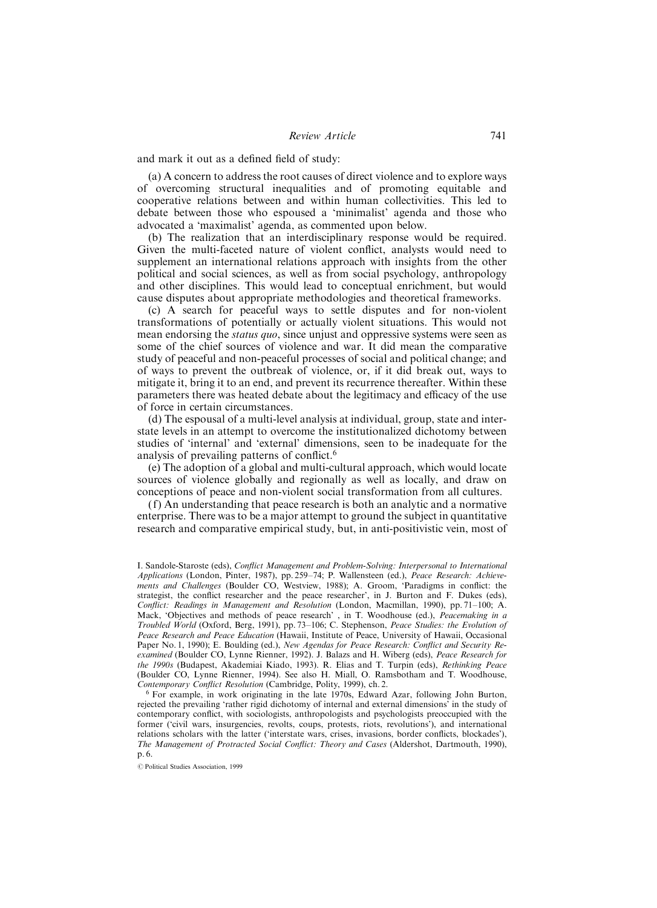and mark it out as a defined field of study:

(a) A concern to address the root causes of direct violence and to explore ways of overcoming structural inequalities and of promoting equitable and cooperative relations between and within human collectivities. This led to debate between those who espoused a 'minimalist' agenda and those who advocated a 'maximalist' agenda, as commented upon below.

(b) The realization that an interdisciplinary response would be required. Given the multi-faceted nature of violent conflict, analysts would need to supplement an international relations approach with insights from the other political and social sciences, as well as from social psychology, anthropology and other disciplines. This would lead to conceptual enrichment, but would cause disputes about appropriate methodologies and theoretical frameworks.

(c) A search for peaceful ways to settle disputes and for non-violent transformations of potentially or actually violent situations. This would not mean endorsing the *status quo*, since unjust and oppressive systems were seen as some of the chief sources of violence and war. It did mean the comparative study of peaceful and non-peaceful processes of social and political change; and of ways to prevent the outbreak of violence, or, if it did break out, ways to mitigate it, bring it to an end, and prevent its recurrence thereafter. Within these parameters there was heated debate about the legitimacy and efficacy of the use of force in certain circumstances.

(d) The espousal of a multi-level analysis at individual, group, state and interstate levels in an attempt to overcome the institutionalized dichotomy between studies of 'internal' and 'external' dimensions, seen to be inadequate for the analysis of prevailing patterns of conflict.<sup>6</sup>

(e) The adoption of a global and multi-cultural approach, which would locate sources of violence globally and regionally as well as locally, and draw on conceptions of peace and non-violent social transformation from all cultures.

(f) An understanding that peace research is both an analytic and a normative enterprise. There was to be a major attempt to ground the subject in quantitative research and comparative empirical study, but, in anti-positivistic vein, most of

<sup>6</sup> For example, in work originating in the late 1970s, Edward Azar, following John Burton, rejected the prevailing 'rather rigid dichotomy of internal and external dimensions' in the study of contemporary conflict, with sociologists, anthropologists and psychologists preoccupied with the former ('civil wars, insurgencies, revolts, coups, protests, riots, revolutions'), and international relations scholars with the latter ('interstate wars, crises, invasions, border conflicts, blockades'), The Management of Protracted Social Conflict: Theory and Cases (Aldershot, Dartmouth, 1990), p. 6.

I. Sandole-Staroste (eds), Conflict Management and Problem-Solving: Interpersonal to International Applications (London, Pinter, 1987), pp. 259-74; P. Wallensteen (ed.), Peace Research: Achievements and Challenges (Boulder CO, Westview, 1988); A. Groom, 'Paradigms in conflict: the strategist, the conflict researcher and the peace researcher', in J. Burton and F. Dukes (eds), Conflict: Readings in Management and Resolution (London, Macmillan, 1990), pp. 71-100; A. Mack, 'Objectives and methods of peace research', in T. Woodhouse (ed.), Peacemaking in a Troubled World (Oxford, Berg, 1991), pp. 73–106; C. Stephenson, Peace Studies: the Evolution of Peace Research and Peace Education (Hawaii, Institute of Peace, University of Hawaii, Occasional Paper No. 1, 1990); E. Boulding (ed.), New Agendas for Peace Research: Conflict and Security Reexamined (Boulder CO, Lynne Rienner, 1992). J. Balazs and H. Wiberg (eds), Peace Research for the 1990s (Budapest, Akademiai Kiado, 1993). R. Elias and T. Turpin (eds), Rethinking Peace (Boulder CO, Lynne Rienner, 1994). See also H. Miall, O. Ramsbotham and T. Woodhouse, Contemporary Conflict Resolution (Cambridge, Polity, 1999), ch. 2.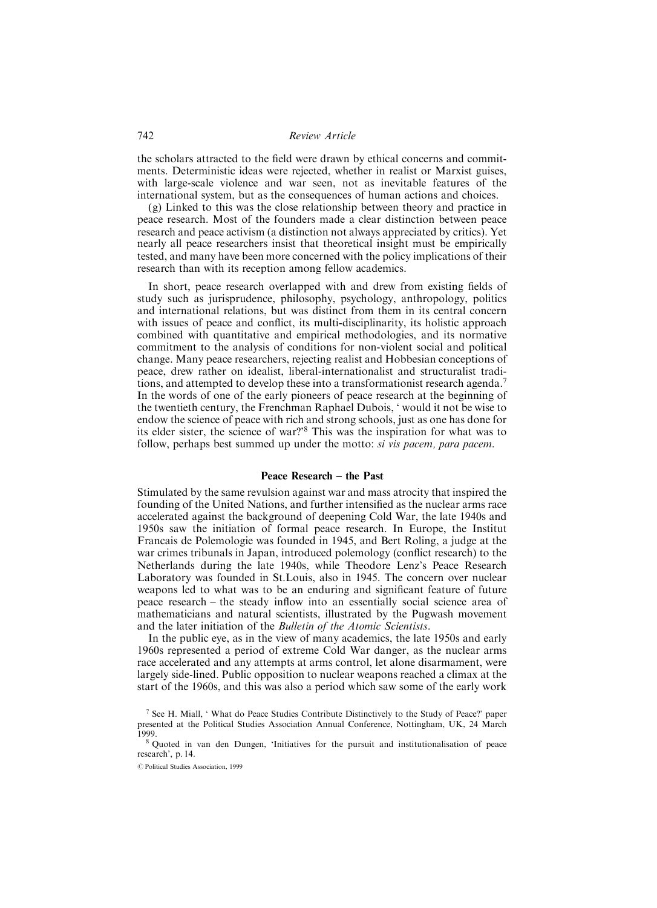the scholars attracted to the field were drawn by ethical concerns and commitments. Deterministic ideas were rejected, whether in realist or Marxist guises, with large-scale violence and war seen, not as inevitable features of the international system, but as the consequences of human actions and choices.

(g) Linked to this was the close relationship between theory and practice in peace research. Most of the founders made a clear distinction between peace research and peace activism (a distinction not always appreciated by critics). Yet nearly all peace researchers insist that theoretical insight must be empirically tested, and many have been more concerned with the policy implications of their research than with its reception among fellow academics.

In short, peace research overlapped with and drew from existing fields of study such as jurisprudence, philosophy, psychology, anthropology, politics and international relations, but was distinct from them in its central concern with issues of peace and conflict, its multi-disciplinarity, its holistic approach combined with quantitative and empirical methodologies, and its normative commitment to the analysis of conditions for non-violent social and political change. Many peace researchers, rejecting realist and Hobbesian conceptions of peace, drew rather on idealist, liberal-internationalist and structuralist traditions, and attempted to develop these into a transformationist research agenda.<sup>7</sup> In the words of one of the early pioneers of peace research at the beginning of the twentieth century, the Frenchman Raphael Dubois, 'would it not be wise to endow the science of peace with rich and strong schools, just as one has done for its elder sister, the science of war?<sup>8</sup> This was the inspiration for what was to follow, perhaps best summed up under the motto: *si vis pacem*, *para pacem*.

## Peace Research - the Past

Stimulated by the same revulsion against war and mass atrocity that inspired the founding of the United Nations, and further intensified as the nuclear arms race accelerated against the background of deepening Cold War, the late 1940s and 1950s saw the initiation of formal peace research. In Europe, the Institut Francais de Polemologie was founded in 1945, and Bert Roling, a judge at the war crimes tribunals in Japan, introduced polemology (conflict research) to the Netherlands during the late 1940s, while Theodore Lenz's Peace Research Laboratory was founded in St.Louis, also in 1945. The concern over nuclear weapons led to what was to be an enduring and significant feature of future peace research – the steady inflow into an essentially social science area of mathematicians and natural scientists, illustrated by the Pugwash movement and the later initiation of the Bulletin of the Atomic Scientists.

In the public eye, as in the view of many academics, the late 1950s and early 1960s represented a period of extreme Cold War danger, as the nuclear arms race accelerated and any attempts at arms control, let alone disarmament, were largely side-lined. Public opposition to nuclear weapons reached a climax at the start of the 1960s, and this was also a period which saw some of the early work

<sup>&</sup>lt;sup>7</sup> See H. Miall, 'What do Peace Studies Contribute Distinctively to the Study of Peace?' paper presented at the Political Studies Association Annual Conference, Nottingham, UK, 24 March 1999.

<sup>&</sup>lt;sup>8</sup> Quoted in van den Dungen, 'Initiatives for the pursuit and institutionalisation of peace research', p. 14.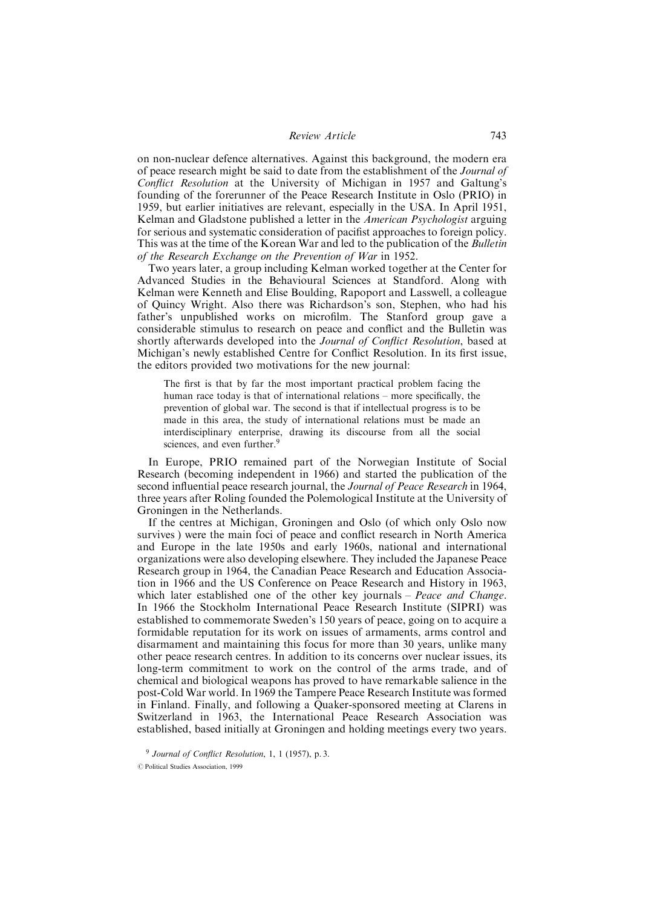on non-nuclear defence alternatives. Against this background, the modern era of peace research might be said to date from the establishment of the *Journal of Conflict Resolution* at the University of Michigan in 1957 and Galtung's founding of the forerunner of the Peace Research Institute in Oslo (PRIO) in 1959, but earlier initiatives are relevant, especially in the USA. In April 1951, Kelman and Gladstone published a letter in the *American Psychologist* arguing for serious and systematic consideration of pacifist approaches to foreign policy. This was at the time of the Korean War and led to the publication of the *Bulletin* of the Research Exchange on the Prevention of War in 1952.

Two years later, a group including Kelman worked together at the Center for Advanced Studies in the Behavioural Sciences at Standford. Along with Kelman were Kenneth and Elise Boulding, Rapoport and Lasswell, a colleague of Quincy Wright. Also there was Richardson's son, Stephen, who had his father's unpublished works on microfilm. The Stanford group gave a considerable stimulus to research on peace and conflict and the Bulletin was shortly afterwards developed into the *Journal of Conflict Resolution*, based at Michigan's newly established Centre for Conflict Resolution. In its first issue, the editors provided two motivations for the new journal:

The first is that by far the most important practical problem facing the human race today is that of international relations – more specifically, the prevention of global war. The second is that if intellectual progress is to be made in this area, the study of international relations must be made an interdisciplinary enterprise, drawing its discourse from all the social sciences, and even further.<sup>9</sup>

In Europe, PRIO remained part of the Norwegian Institute of Social Research (becoming independent in 1966) and started the publication of the second influential peace research journal, the *Journal of Peace Research* in 1964, three years after Roling founded the Polemological Institute at the University of Groningen in the Netherlands.

If the centres at Michigan, Groningen and Oslo (of which only Oslo now survives) were the main foci of peace and conflict research in North America and Europe in the late 1950s and early 1960s, national and international organizations were also developing elsewhere. They included the Japanese Peace Research group in 1964, the Canadian Peace Research and Education Association in 1966 and the US Conference on Peace Research and History in 1963, which later established one of the other key journals - Peace and Change. In 1966 the Stockholm International Peace Research Institute (SIPRI) was established to commemorate Sweden's 150 years of peace, going on to acquire a formidable reputation for its work on issues of armaments, arms control and disarmament and maintaining this focus for more than 30 years, unlike many other peace research centres. In addition to its concerns over nuclear issues, its long-term commitment to work on the control of the arms trade, and of chemical and biological weapons has proved to have remarkable salience in the post-Cold War world. In 1969 the Tampere Peace Research Institute was formed in Finland. Finally, and following a Quaker-sponsored meeting at Clarens in Switzerland in 1963, the International Peace Research Association was established, based initially at Groningen and holding meetings every two years.

 $9$  Journal of Conflict Resolution, 1, 1 (1957), p. 3.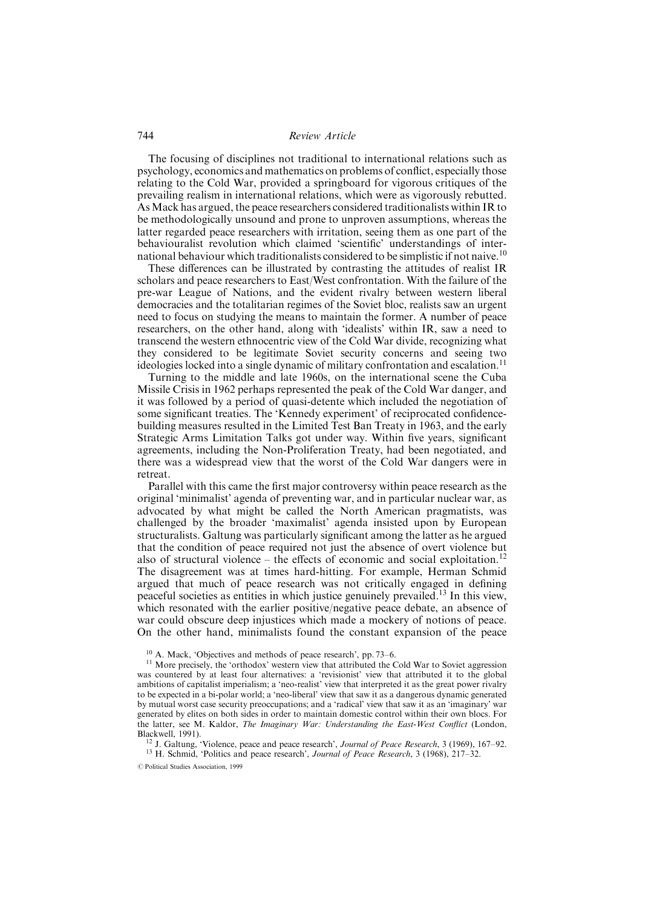The focusing of disciplines not traditional to international relations such as psychology, economics and mathematics on problems of conflict, especially those relating to the Cold War, provided a springboard for vigorous critiques of the prevailing realism in international relations, which were as vigorously rebutted. As Mack has argued, the peace researchers considered traditionalists within IR to be methodologically unsound and prone to unproven assumptions, whereas the latter regarded peace researchers with irritation, seeing them as one part of the behaviouralist revolution which claimed 'scientific' understandings of international behaviour which traditionalists considered to be simplistic if not naive.<sup>10</sup>

These differences can be illustrated by contrasting the attitudes of realist IR scholars and peace researchers to East/West confrontation. With the failure of the pre-war League of Nations, and the evident rivalry between western liberal democracies and the totalitarian regimes of the Soviet bloc, realists saw an urgent need to focus on studying the means to maintain the former. A number of peace researchers, on the other hand, along with 'idealists' within IR, saw a need to transcend the western ethnocentric view of the Cold War divide, recognizing what they considered to be legitimate Soviet security concerns and seeing two ideologies locked into a single dynamic of military confrontation and escalation.<sup>11</sup>

Turning to the middle and late 1960s, on the international scene the Cuba Missile Crisis in 1962 perhaps represented the peak of the Cold War danger, and it was followed by a period of quasi-detente which included the negotiation of some significant treaties. The 'Kennedy experiment' of reciprocated confidencebuilding measures resulted in the Limited Test Ban Treaty in 1963, and the early Strategic Arms Limitation Talks got under way. Within five years, significant agreements, including the Non-Proliferation Treaty, had been negotiated, and there was a widespread view that the worst of the Cold War dangers were in retreat.

Parallel with this came the first major controversy within peace research as the original 'minimalist' agenda of preventing war, and in particular nuclear war, as advocated by what might be called the North American pragmatists, was challenged by the broader 'maximalist' agenda insisted upon by European structuralists. Galtung was particularly significant among the latter as he argued that the condition of peace required not just the absence of overt violence but also of structural violence – the effects of economic and social exploitation.<sup>12</sup> The disagreement was at times hard-hitting. For example, Herman Schmid argued that much of peace research was not critically engaged in defining peaceful societies as entities in which justice genuinely prevailed.<sup>13</sup> In this view, which resonated with the earlier positive/negative peace debate, an absence of war could obscure deep injustices which made a mockery of notions of peace. On the other hand, minimalists found the constant expansion of the peace

 $10$  A. Mack, 'Objectives and methods of peace research', pp. 73–6.

 $<sup>11</sup>$  More precisely, the 'orthodox' western view that attributed the Cold War to Soviet aggression</sup> was countered by at least four alternatives: a 'revisionist' view that attributed it to the global ambitions of capitalist imperialism; a 'neo-realist' view that interpreted it as the great power rivalry to be expected in a bi-polar world; a 'neo-liberal' view that saw it as a dangerous dynamic generated by mutual worst case security preoccupations; and a 'radical' view that saw it as an 'imaginary' war generated by elites on both sides in order to maintain domestic control within their own blocs. For the latter, see M. Kaldor, The Imaginary War: Understanding the East-West Conflict (London, Blackwell, 1991).

<sup>12</sup> J. Galtung, 'Violence, peace and peace research', Journal of Peace Research, 3 (1969), 167-92.

<sup>13</sup> H. Schmid, 'Politics and peace research', *Journal of Peace Research*, 3 (1968), 217–32.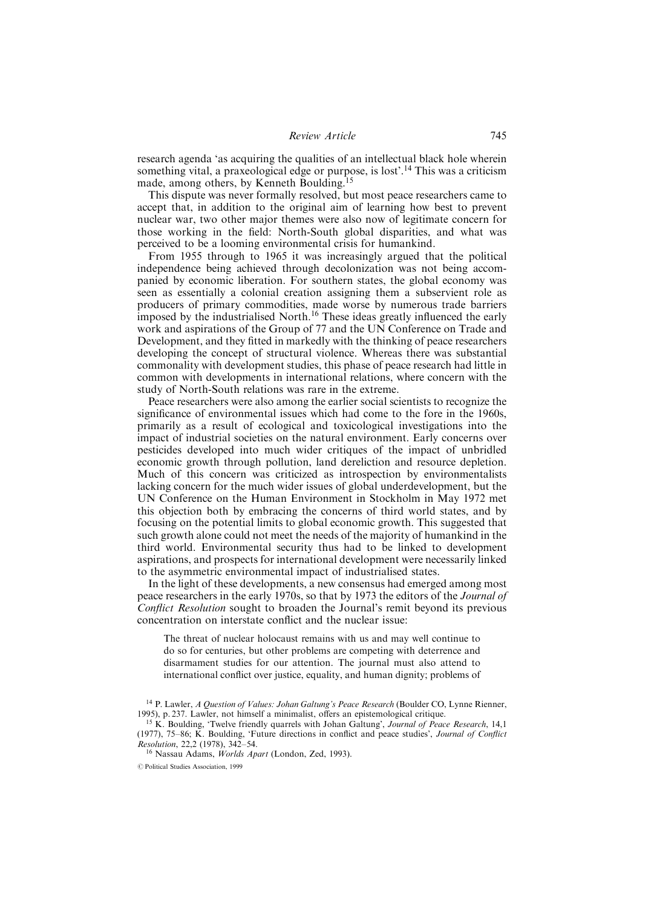research agenda 'as acquiring the qualities of an intellectual black hole wherein something vital, a praxeological edge or purpose, is lost'.<sup>14</sup> This was a criticism made, among others, by Kenneth Boulding.<sup>15</sup>

This dispute was never formally resolved, but most peace researchers came to accept that, in addition to the original aim of learning how best to prevent nuclear war, two other major themes were also now of legitimate concern for those working in the field: North-South global disparities, and what was perceived to be a looming environmental crisis for humankind.

From 1955 through to 1965 it was increasingly argued that the political independence being achieved through decolonization was not being accompanied by economic liberation. For southern states, the global economy was seen as essentially a colonial creation assigning them a subservient role as producers of primary commodities, made worse by numerous trade barriers imposed by the industrialised North.<sup>16</sup> These ideas greatly influenced the early work and aspirations of the Group of 77 and the UN Conference on Trade and Development, and they fitted in markedly with the thinking of peace researchers developing the concept of structural violence. Whereas there was substantial commonality with development studies, this phase of peace research had little in common with developments in international relations, where concern with the study of North-South relations was rare in the extreme.

Peace researchers were also among the earlier social scientists to recognize the significance of environmental issues which had come to the fore in the 1960s, primarily as a result of ecological and toxicological investigations into the impact of industrial societies on the natural environment. Early concerns over pesticides developed into much wider critiques of the impact of unbridled economic growth through pollution, land dereliction and resource depletion. Much of this concern was criticized as introspection by environmentalists lacking concern for the much wider issues of global underdevelopment, but the UN Conference on the Human Environment in Stockholm in May 1972 met this objection both by embracing the concerns of third world states, and by focusing on the potential limits to global economic growth. This suggested that such growth alone could not meet the needs of the majority of humankind in the third world. Environmental security thus had to be linked to development aspirations, and prospects for international development were necessarily linked to the asymmetric environmental impact of industrialised states.

In the light of these developments, a new consensus had emerged among most peace researchers in the early 1970s, so that by 1973 the editors of the Journal of *Conflict Resolution* sought to broaden the Journal's remit beyond its previous concentration on interstate conflict and the nuclear issue:

The threat of nuclear holocaust remains with us and may well continue to do so for centuries, but other problems are competing with deterrence and disarmament studies for our attention. The journal must also attend to international conflict over justice, equality, and human dignity; problems of

<sup>16</sup> Nassau Adams, *Worlds Apart* (London, Zed, 1993).

<sup>&</sup>lt;sup>14</sup> P. Lawler, A Question of Values: Johan Galtung's Peace Research (Boulder CO, Lynne Rienner, 1995), p. 237. Lawler, not himself a minimalist, offers an epistemological critique.

<sup>&</sup>lt;sup>15</sup> K. Boulding, 'Twelve friendly quarrels with Johan Galtung', Journal of Peace Research, 14,1 (1977), 75-86; K. Boulding, 'Future directions in conflict and peace studies', Journal of Conflict Resolution, 22,2 (1978), 342-54.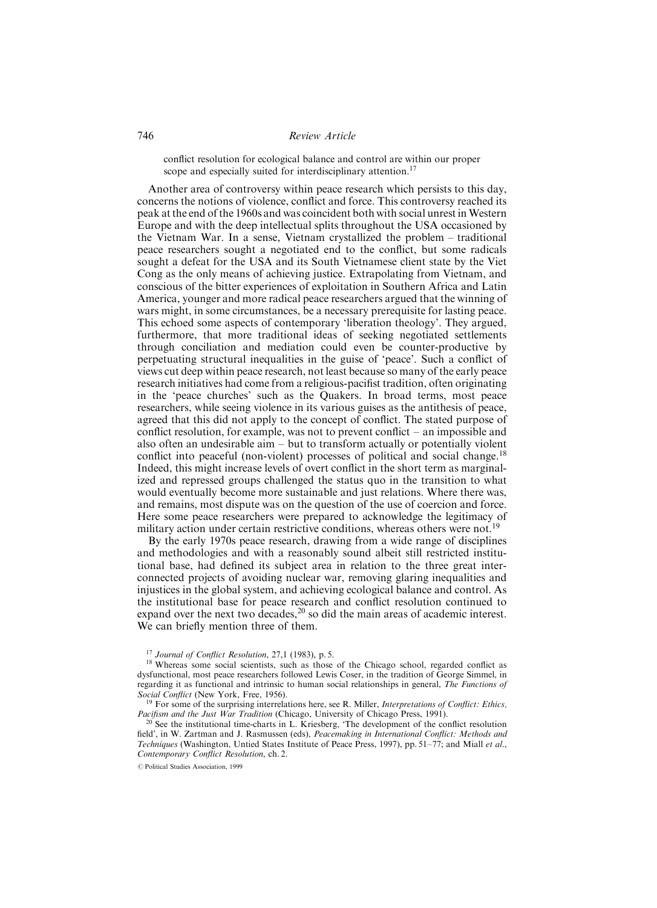## Review Article

conflict resolution for ecological balance and control are within our proper scope and especially suited for interdisciplinary attention.<sup>17</sup>

Another area of controversy within peace research which persists to this day. concerns the notions of violence, conflict and force. This controversy reached its peak at the end of the 1960s and was coincident both with social unrest in Western Europe and with the deep intellectual splits throughout the USA occasioned by the Vietnam War. In a sense, Vietnam crystallized the problem – traditional peace researchers sought a negotiated end to the conflict, but some radicals sought a defeat for the USA and its South Vietnamese client state by the Viet Cong as the only means of achieving justice. Extrapolating from Vietnam, and conscious of the bitter experiences of exploitation in Southern Africa and Latin America, younger and more radical peace researchers argued that the winning of wars might, in some circumstances, be a necessary prerequisite for lasting peace. This echoed some aspects of contemporary 'liberation theology'. They argued, furthermore, that more traditional ideas of seeking negotiated settlements through conciliation and mediation could even be counter-productive by perpetuating structural inequalities in the guise of 'peace'. Such a conflict of views cut deep within peace research, not least because so many of the early peace research initiatives had come from a religious-pacifist tradition, often originating in the 'peace churches' such as the Quakers. In broad terms, most peace researchers, while seeing violence in its various guises as the antithesis of peace, agreed that this did not apply to the concept of conflict. The stated purpose of conflict resolution, for example, was not to prevent conflict  $-$  an impossible and also often an undesirable aim  $-$  but to transform actually or potentially violent conflict into peaceful (non-violent) processes of political and social change.<sup>18</sup> Indeed, this might increase levels of overt conflict in the short term as marginalized and repressed groups challenged the status quo in the transition to what would eventually become more sustainable and just relations. Where there was, and remains, most dispute was on the question of the use of coercion and force. Here some peace researchers were prepared to acknowledge the legitimacy of military action under certain restrictive conditions, whereas others were not.<sup>19</sup>

By the early 1970s peace research, drawing from a wide range of disciplines and methodologies and with a reasonably sound albeit still restricted institutional base, had defined its subject area in relation to the three great interconnected projects of avoiding nuclear war, removing glaring inequalities and injustices in the global system, and achieving ecological balance and control. As the institutional base for peace research and conflict resolution continued to expand over the next two decades,  $20$  so did the main areas of academic interest. We can briefly mention three of them.

<sup>17</sup> Journal of Conflict Resolution, 27,1 (1983), p. 5.

 $<sup>19</sup>$  For some of the surprising interrelations here, see R. Miller, *Interpretations of Conflict: Ethics*,</sup> Pacifism and the Just War Tradition (Chicago, University of Chicago Press, 1991).

 $20$  See the institutional time-charts in L. Kriesberg, 'The development of the conflict resolution field', in W. Zartman and J. Rasmussen (eds), Peacemaking in International Conflict: Methods and Techniques (Washington, Untied States Institute of Peace Press, 1997), pp. 51-77; and Miall et al., Contemporary Conflict Resolution, ch. 2.

<sup>&</sup>lt;sup>18</sup> Whereas some social scientists, such as those of the Chicago school, regarded conflict as dysfunctional, most peace researchers followed Lewis Coser, in the tradition of George Simmel, in regarding it as functional and intrinsic to human social relationships in general, The Functions of Social Conflict (New York, Free, 1956).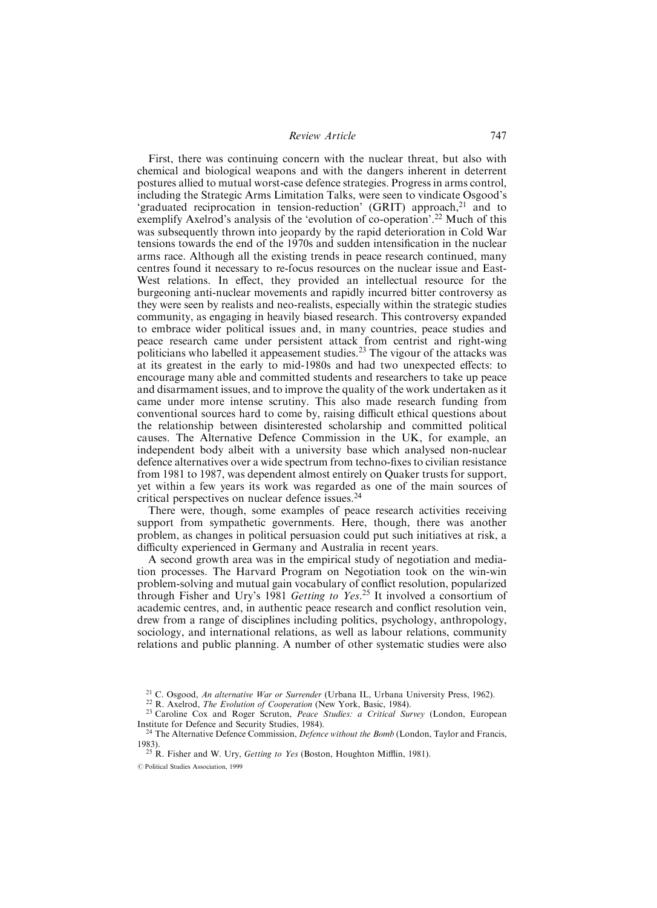First, there was continuing concern with the nuclear threat, but also with chemical and biological weapons and with the dangers inherent in deterrent postures allied to mutual worst-case defence strategies. Progress in arms control, including the Strategic Arms Limitation Talks, were seen to vindicate Osgood's 'graduated reciprocation in tension-reduction' (GRIT) approach,<sup>21</sup> and to exemplify Axelrod's analysis of the 'evolution of co-operation'.<sup>22</sup> Much of this was subsequently thrown into jeopardy by the rapid deterioration in Cold War tensions towards the end of the 1970s and sudden intensification in the nuclear arms race. Although all the existing trends in peace research continued, many centres found it necessary to re-focus resources on the nuclear issue and East-West relations. In effect, they provided an intellectual resource for the burgeoning anti-nuclear movements and rapidly incurred bitter controversy as they were seen by realists and neo-realists, especially within the strategic studies community, as engaging in heavily biased research. This controversy expanded to embrace wider political issues and, in many countries, peace studies and peace research came under persistent attack from centrist and right-wing politicians who labelled it appeasement studies.<sup>23</sup> The vigour of the attacks was at its greatest in the early to mid-1980s and had two unexpected effects: to encourage many able and committed students and researchers to take up peace and disarmament issues, and to improve the quality of the work undertaken as it came under more intense scrutiny. This also made research funding from conventional sources hard to come by, raising difficult ethical questions about the relationship between disinterested scholarship and committed political causes. The Alternative Defence Commission in the UK, for example, an independent body albeit with a university base which analysed non-nuclear defence alternatives over a wide spectrum from techno-fixes to civilian resistance from 1981 to 1987, was dependent almost entirely on Quaker trusts for support, yet within a few years its work was regarded as one of the main sources of critical perspectives on nuclear defence issues.<sup>24</sup>

There were, though, some examples of peace research activities receiving support from sympathetic governments. Here, though, there was another problem, as changes in political persuasion could put such initiatives at risk, a difficulty experienced in Germany and Australia in recent years.

A second growth area was in the empirical study of negotiation and mediation processes. The Harvard Program on Negotiation took on the win-win problem-solving and mutual gain vocabulary of conflict resolution, popularized through Fisher and Ury's 1981 Getting to Yes.<sup>25</sup> It involved a consortium of academic centres, and, in authentic peace research and conflict resolution vein. drew from a range of disciplines including politics, psychology, anthropology, sociology, and international relations, as well as labour relations, community relations and public planning. A number of other systematic studies were also

<sup>&</sup>lt;sup>21</sup> C. Osgood, An alternative War or Surrender (Urbana IL, Urbana University Press, 1962).

<sup>&</sup>lt;sup>22</sup> R. Axelrod, *The Evolution of Cooperation* (New York, Basic, 1984).

<sup>&</sup>lt;sup>23</sup> Caroline Cox and Roger Scruton, Peace Studies: a Critical Survey (London, European Institute for Defence and Security Studies, 1984).

<sup>&</sup>lt;sup>24</sup> The Alternative Defence Commission, *Defence without the Bomb* (London, Taylor and Francis, 1983).

<sup>&</sup>lt;sup>25</sup> R. Fisher and W. Ury, *Getting to Yes* (Boston, Houghton Mifflin, 1981).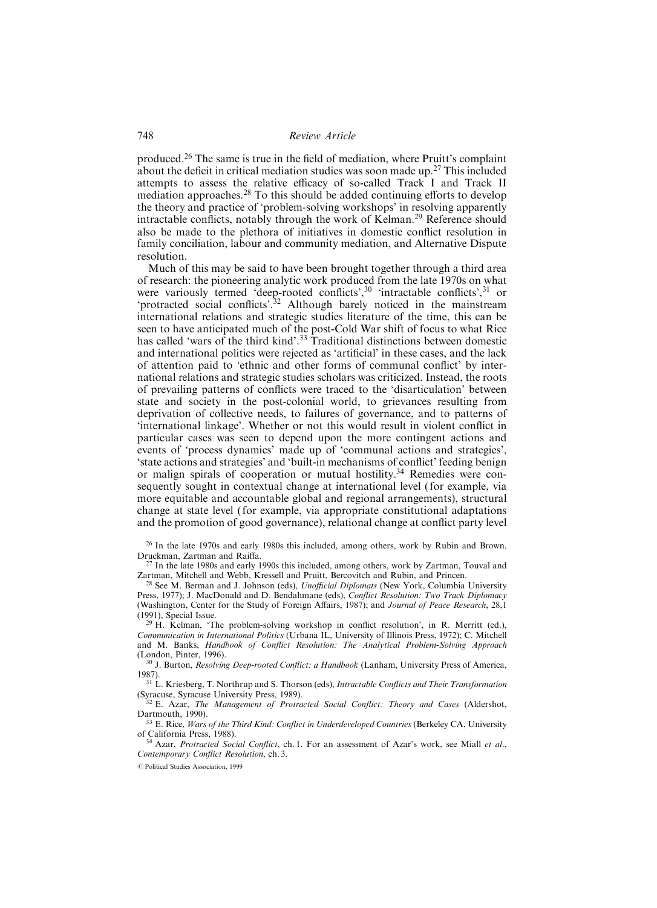produced.<sup>26</sup> The same is true in the field of mediation, where Pruitt's complaint about the deficit in critical mediation studies was soon made up.<sup>27</sup> This included attempts to assess the relative efficacy of so-called Track I and Track II mediation approaches.<sup>28</sup> To this should be added continuing efforts to develop the theory and practice of 'problem-solving workshops' in resolving apparently intractable conflicts, notably through the work of Kelman.<sup>29</sup> Reference should also be made to the plethora of initiatives in domestic conflict resolution in family conciliation, labour and community mediation, and Alternative Dispute resolution.

Much of this may be said to have been brought together through a third area of research: the pioneering analytic work produced from the late 1970s on what were variously termed 'deep-rooted conflicts',<sup>30</sup> 'intractable conflicts',<sup>31</sup> or 'protracted social conflicts'.<sup>32</sup> Although barely noticed in the mainstream international relations and strategic studies literature of the time, this can be seen to have anticipated much of the post-Cold War shift of focus to what Rice has called 'wars of the third kind'.<sup>33</sup> Traditional distinctions between domestic and international politics were rejected as 'artificial' in these cases, and the lack of attention paid to 'ethnic and other forms of communal conflict' by international relations and strategic studies scholars was criticized. Instead, the roots of prevailing patterns of conflicts were traced to the 'disarticulation' between state and society in the post-colonial world, to grievances resulting from deprivation of collective needs, to failures of governance, and to patterns of 'international linkage'. Whether or not this would result in violent conflict in particular cases was seen to depend upon the more contingent actions and events of 'process dynamics' made up of 'communal actions and strategies', 'state actions and strategies' and 'built-in mechanisms of conflict' feeding benign or malign spirals of cooperation or mutual hostility.<sup>34</sup> Remedies were consequently sought in contextual change at international level (for example, via more equitable and accountable global and regional arrangements), structural change at state level (for example, via appropriate constitutional adaptations and the promotion of good governance), relational change at conflict party level

- <sup>26</sup> In the late 1970s and early 1980s this included, among others, work by Rubin and Brown, Druckman, Zartman and Raiffa.
- <sup>27</sup> In the late 1980s and early 1990s this included, among others, work by Zartman, Touval and Zartman, Mitchell and Webb, Kressell and Pruitt, Bercovitch and Rubin, and Princen.
- <sup>28</sup> See M. Berman and J. Johnson (eds), *Unofficial Diplomats* (New York, Columbia University Press, 1977); J. MacDonald and D. Bendahmane (eds), Conflict Resolution: Two Track Diplomacy (Washington, Center for the Study of Foreign Affairs, 1987); and Journal of Peace Research, 28,1 (1991), Special Issue.

<sup>29</sup> H. Kelman, 'The problem-solving workshop in conflict resolution', in R. Merritt (ed.), Communication in International Politics (Urbana IL, University of Illinois Press, 1972); C. Mitchell and M. Banks, Handbook of Conflict Resolution: The Analytical Problem-Solving Approach (London, Pinter, 1996).

<sup>30</sup> J. Burton, *Resolving Deep-rooted Conflict: a Handbook* (Lanham, University Press of America, 1987).

 $31$  L. Kriesberg, T. Northrup and S. Thorson (eds), Intractable Conflicts and Their Transformation (Syracuse, Syracuse University Press, 1989).

<sup>32</sup> E. Azar, The Management of Protracted Social Conflict: Theory and Cases (Aldershot, Dartmouth, 1990).

<sup>33</sup> E. Rice, *Wars of the Third Kind: Conflict in Underdeveloped Countries* (Berkeley CA, University of California Press, 1988).

<sup>34</sup> Azar, *Protracted Social Conflict*, ch. 1. For an assessment of Azar's work, see Miall et al., Contemporary Conflict Resolution, ch. 3.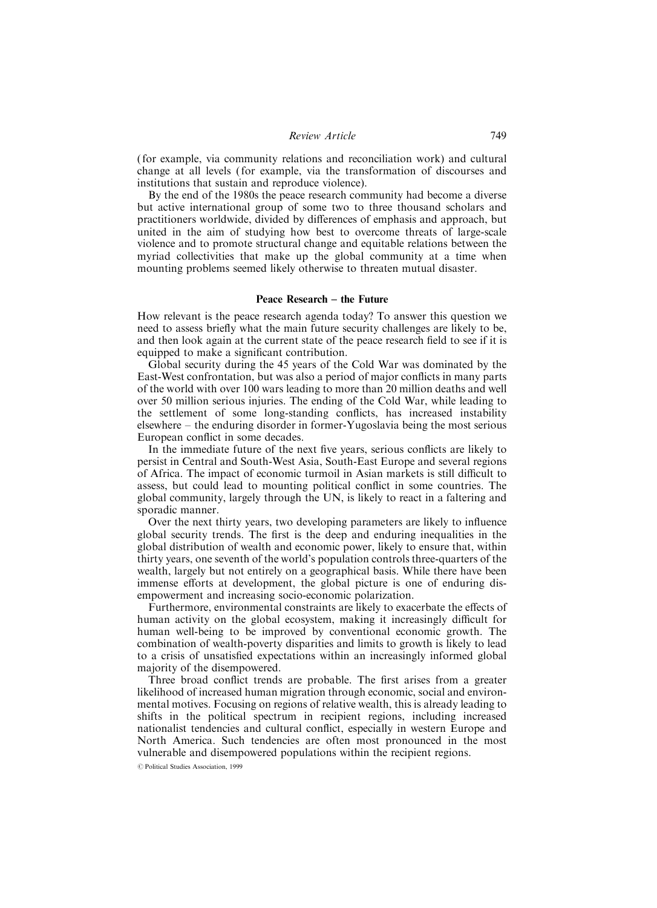(for example, via community relations and reconciliation work) and cultural change at all levels (for example, via the transformation of discourses and institutions that sustain and reproduce violence).

By the end of the 1980s the peace research community had become a diverse but active international group of some two to three thousand scholars and practitioners worldwide, divided by differences of emphasis and approach, but united in the aim of studying how best to overcome threats of large-scale violence and to promote structural change and equitable relations between the myriad collectivities that make up the global community at a time when mounting problems seemed likely otherwise to threaten mutual disaster.

## Peace Research – the Future

How relevant is the peace research agenda today? To answer this question we need to assess briefly what the main future security challenges are likely to be, and then look again at the current state of the peace research field to see if it is equipped to make a significant contribution.

Global security during the 45 years of the Cold War was dominated by the East-West confrontation, but was also a period of major conflicts in many parts of the world with over 100 wars leading to more than 20 million deaths and well over 50 million serious injuries. The ending of the Cold War, while leading to the settlement of some long-standing conflicts, has increased instability elsewhere – the enduring disorder in former-Yugoslavia being the most serious European conflict in some decades.

In the immediate future of the next five years, serious conflicts are likely to persist in Central and South-West Asia, South-East Europe and several regions of Africa. The impact of economic turmoil in Asian markets is still difficult to assess, but could lead to mounting political conflict in some countries. The global community, largely through the UN, is likely to react in a faltering and sporadic manner.

Over the next thirty years, two developing parameters are likely to influence global security trends. The first is the deep and enduring inequalities in the global distribution of wealth and economic power, likely to ensure that, within thirty years, one seventh of the world's population controls three-quarters of the wealth, largely but not entirely on a geographical basis. While there have been immense efforts at development, the global picture is one of enduring disempowerment and increasing socio-economic polarization.

Furthermore, environmental constraints are likely to exacerbate the effects of human activity on the global ecosystem, making it increasingly difficult for human well-being to be improved by conventional economic growth. The combination of wealth-poverty disparities and limits to growth is likely to lead to a crisis of unsatisfied expectations within an increasingly informed global majority of the disempowered.

Three broad conflict trends are probable. The first arises from a greater likelihood of increased human migration through economic, social and environmental motives. Focusing on regions of relative wealth, this is already leading to shifts in the political spectrum in recipient regions, including increased nationalist tendencies and cultural conflict, especially in western Europe and North America. Such tendencies are often most pronounced in the most vulnerable and disempowered populations within the recipient regions.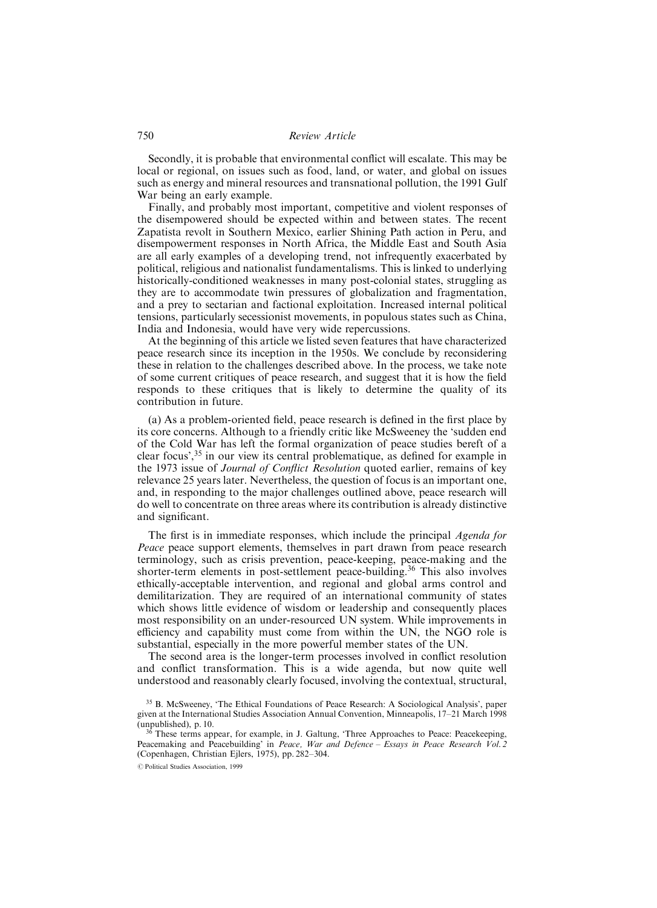Secondly, it is probable that environmental conflict will escalate. This may be local or regional, on issues such as food, land, or water, and global on issues such as energy and mineral resources and transnational pollution, the 1991 Gulf War being an early example.

Finally, and probably most important, competitive and violent responses of the disempowered should be expected within and between states. The recent Zapatista revolt in Southern Mexico, earlier Shining Path action in Peru, and disempowerment responses in North Africa, the Middle East and South Asia are all early examples of a developing trend, not infrequently exacerbated by political, religious and nationalist fundamentalisms. This is linked to underlying historically-conditioned weaknesses in many post-colonial states, struggling as they are to accommodate twin pressures of globalization and fragmentation, and a prey to sectarian and factional exploitation. Increased internal political tensions, particularly secessionist movements, in populous states such as China, India and Indonesia, would have very wide repercussions.

At the beginning of this article we listed seven features that have characterized peace research since its inception in the 1950s. We conclude by reconsidering these in relation to the challenges described above. In the process, we take note of some current critiques of peace research, and suggest that it is how the field responds to these critiques that is likely to determine the quality of its contribution in future.

(a) As a problem-oriented field, peace research is defined in the first place by its core concerns. Although to a friendly critic like McSweeney the 'sudden end of the Cold War has left the formal organization of peace studies bereft of a clear focus',<sup>35</sup> in our view its central problematique, as defined for example in the 1973 issue of *Journal of Conflict Resolution* quoted earlier, remains of key relevance 25 years later. Nevertheless, the question of focus is an important one, and, in responding to the major challenges outlined above, peace research will do well to concentrate on three areas where its contribution is already distinctive and significant.

The first is in immediate responses, which include the principal *Agenda for Peace* peace support elements, themselves in part drawn from peace research terminology, such as crisis prevention, peace-keeping, peace-making and the shorter-term elements in post-settlement peace-building.<sup>36</sup> This also involves ethically-acceptable intervention, and regional and global arms control and demilitarization. They are required of an international community of states which shows little evidence of wisdom or leadership and consequently places most responsibility on an under-resourced UN system. While improvements in efficiency and capability must come from within the UN, the NGO role is substantial, especially in the more powerful member states of the UN.

The second area is the longer-term processes involved in conflict resolution and conflict transformation. This is a wide agenda, but now quite well understood and reasonably clearly focused, involving the contextual, structural,

<sup>&</sup>lt;sup>35</sup> B. McSweeney, 'The Ethical Foundations of Peace Research: A Sociological Analysis', paper given at the International Studies Association Annual Convention, Minneapolis, 17–21 March 1998 (unpublished), p. 10.

 $36$  These terms appear, for example, in J. Galtung, 'Three Approaches to Peace: Peacekeeping, Peacemaking and Peacebuilding' in Peace, War and Defence - Essays in Peace Research Vol.2 (Copenhagen, Christian Ejlers, 1975), pp. 282–304.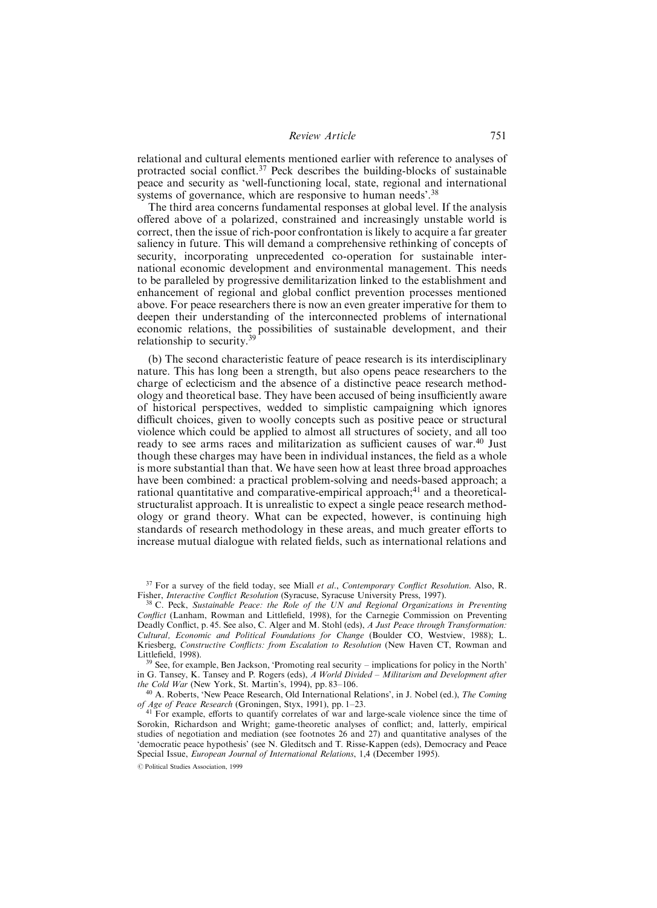relational and cultural elements mentioned earlier with reference to analyses of protracted social conflict.<sup>37</sup> Peck describes the building-blocks of sustainable peace and security as 'well-functioning local, state, regional and international systems of governance, which are responsive to human needs'.<sup>38</sup>

The third area concerns fundamental responses at global level. If the analysis offered above of a polarized, constrained and increasingly unstable world is correct, then the issue of rich-poor confrontation is likely to acquire a far greater saliency in future. This will demand a comprehensive rethinking of concepts of security, incorporating unprecedented co-operation for sustainable international economic development and environmental management. This needs to be paralleled by progressive demilitarization linked to the establishment and enhancement of regional and global conflict prevention processes mentioned above. For peace researchers there is now an even greater imperative for them to deepen their understanding of the interconnected problems of international economic relations, the possibilities of sustainable development, and their relationship to security.<sup>39</sup>

(b) The second characteristic feature of peace research is its interdisciplinary nature. This has long been a strength, but also opens peace researchers to the charge of eclecticism and the absence of a distinctive peace research methodology and theoretical base. They have been accused of being insufficiently aware of historical perspectives, wedded to simplistic campaigning which ignores difficult choices, given to woolly concepts such as positive peace or structural violence which could be applied to almost all structures of society, and all too ready to see arms races and militarization as sufficient causes of war.<sup>40</sup> Just though these charges may have been in individual instances, the field as a whole is more substantial than that. We have seen how at least three broad approaches have been combined: a practical problem-solving and needs-based approach; a rational quantitative and comparative-empirical approach;<sup>41</sup> and a theoreticalstructuralist approach. It is unrealistic to expect a single peace research methodology or grand theory. What can be expected, however, is continuing high standards of research methodology in these areas, and much greater efforts to increase mutual dialogue with related fields, such as international relations and

<sup>37</sup> For a survey of the field today, see Miall et al., Contemporary Conflict Resolution. Also, R. Fisher, Interactive Conflict Resolution (Syracuse, Syracuse University Press, 1997).

<sup>38</sup> C. Peck, Sustainable Peace: the Role of the UN and Regional Organizations in Preventing Conflict (Lanham, Rowman and Littlefield, 1998), for the Carnegie Commission on Preventing Deadly Conflict, p. 45. See also, C. Alger and M. Stohl (eds), A Just Peace through Transformation: Cultural, Economic and Political Foundations for Change (Boulder CO, Westview, 1988); L. Kriesberg, Constructive Conflicts: from Escalation to Resolution (New Haven CT, Rowman and Littlefield. 1998).

 $39$  See, for example, Ben Jackson, 'Promoting real security – implications for policy in the North' in G. Tansey, K. Tansey and P. Rogers (eds), A World Divided - Militarism and Development after the Cold War (New York, St. Martin's, 1994), pp. 83-106.

<sup>40</sup> A. Roberts, 'New Peace Research, Old International Relations', in J. Nobel (ed.), *The Coming* of Age of Peace Research (Groningen, Styx, 1991), pp. 1–23.

<sup>41</sup> For example, efforts to quantify correlates of war and large-scale violence since the time of Sorokin, Richardson and Wright; game-theoretic analyses of conflict; and, latterly, empirical studies of negotiation and mediation (see footnotes 26 and 27) and quantitative analyses of the 'democratic peace hypothesis' (see N. Gleditsch and T. Risse-Kappen (eds), Democracy and Peace Special Issue, European Journal of International Relations, 1,4 (December 1995).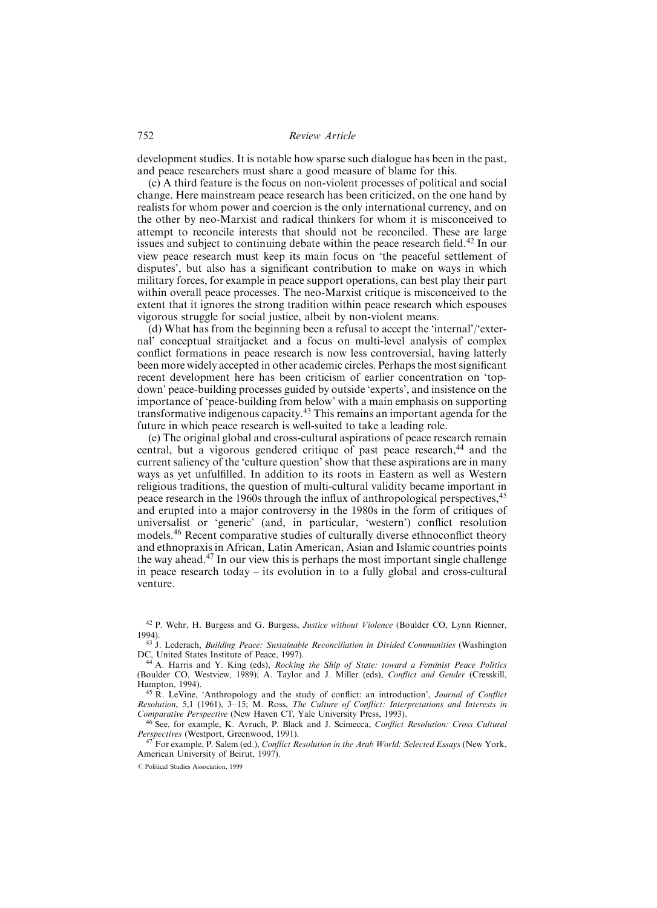development studies. It is notable how sparse such dialogue has been in the past, and peace researchers must share a good measure of blame for this.

 $(c)$  A third feature is the focus on non-violent processes of political and social change. Here mainstream peace research has been criticized, on the one hand by realists for whom power and coercion is the only international currency, and on the other by neo-Marxist and radical thinkers for whom it is misconceived to attempt to reconcile interests that should not be reconciled. These are large issues and subject to continuing debate within the peace research field.<sup>42</sup> In our view peace research must keep its main focus on 'the peaceful settlement of disputes', but also has a significant contribution to make on ways in which military forces, for example in peace support operations, can best play their part within overall peace processes. The neo-Marxist critique is misconceived to the extent that it ignores the strong tradition within peace research which espouses vigorous struggle for social justice, albeit by non-violent means.

(d) What has from the beginning been a refusal to accept the 'internal'/'external' conceptual straitiacket and a focus on multi-level analysis of complex conflict formations in peace research is now less controversial, having latterly been more widely accepted in other academic circles. Perhaps the most significant recent development here has been criticism of earlier concentration on 'topdown' peace-building processes guided by outside 'experts', and insistence on the importance of 'peace-building from below' with a main emphasis on supporting transformative indigenous capacity.<sup>43</sup> This remains an important agenda for the future in which peace research is well-suited to take a leading role.

(e) The original global and cross-cultural aspirations of peace research remain central, but a vigorous gendered critique of past peace research,<sup>44</sup> and the current saliency of the 'culture question' show that these aspirations are in many ways as yet unfulfilled. In addition to its roots in Eastern as well as Western religious traditions, the question of multi-cultural validity became important in peace research in the 1960s through the influx of anthropological perspectives,<sup>45</sup> and erupted into a major controversy in the 1980s in the form of critiques of universalist or 'generic' (and, in particular, 'western') conflict resolution models.<sup>46</sup> Recent comparative studies of culturally diverse ethnoconflict theory and ethnopraxis in African, Latin American, Asian and Islamic countries points the way ahead.<sup>47</sup> In our view this is perhaps the most important single challenge in peace research today – its evolution in to a fully global and cross-cultural venture.

<sup>42</sup> P. Wehr, H. Burgess and G. Burgess, Justice without Violence (Boulder CO, Lynn Rienner, 1994).

<sup>43</sup> J. Lederach, *Building Peace: Sustainable Reconciliation in Divided Communities* (Washington DC, United States Institute of Peace, 1997).

<sup>45</sup> R. LeVine, 'Anthropology and the study of conflict: an introduction', *Journal of Conflict* Resolution, 5,1 (1961), 3-15; M. Ross, The Culture of Conflict: Interpretations and Interests in Comparative Perspective (New Haven CT, Yale University Press, 1993).

<sup>46</sup> See, for example, K. Avruch, P. Black and J. Scimecca, Conflict Resolution: Cross Cultural Perspectives (Westport, Greenwood, 1991).

<sup>47</sup> For example, P. Salem (ed.), *Conflict Resolution in the Arab World: Selected Essays* (New York, American University of Beirut, 1997).

 $44$  A. Harris and Y. King (eds), Rocking the Ship of State: toward a Feminist Peace Politics (Boulder CO, Westview, 1989); A. Taylor and J. Miller (eds), Conflict and Gender (Cresskill, Hampton, 1994).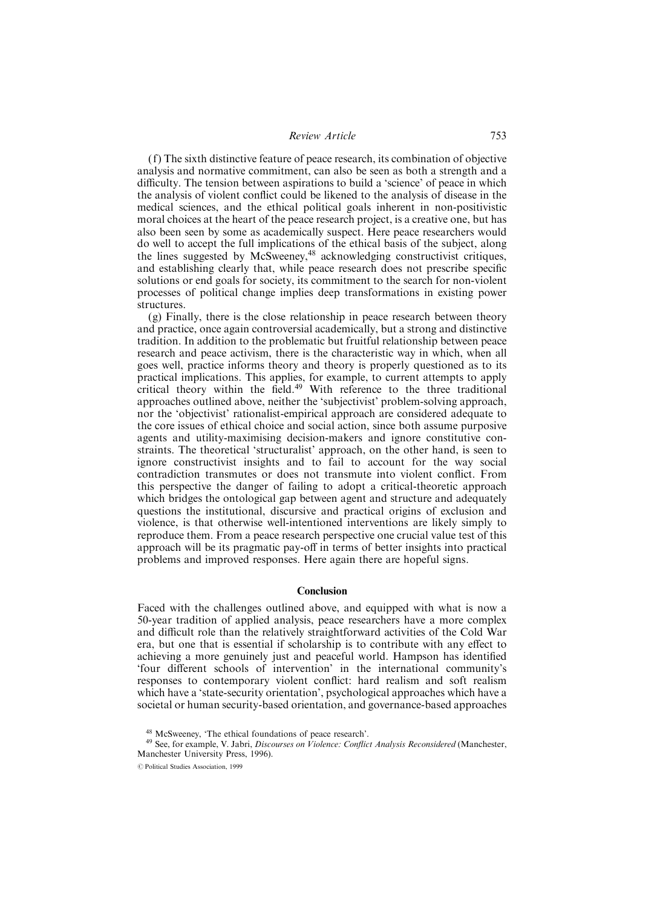(f) The sixth distinctive feature of peace research, its combination of objective analysis and normative commitment, can also be seen as both a strength and a difficulty. The tension between aspirations to build a 'science' of peace in which the analysis of violent conflict could be likened to the analysis of disease in the medical sciences, and the ethical political goals inherent in non-positivistic moral choices at the heart of the peace research project, is a creative one, but has also been seen by some as academically suspect. Here peace researchers would do well to accept the full implications of the ethical basis of the subject, along the lines suggested by McSweeney,<sup>48</sup> acknowledging constructivist critiques. and establishing clearly that, while peace research does not prescribe specific solutions or end goals for society, its commitment to the search for non-violent processes of political change implies deep transformations in existing power structures.

(g) Finally, there is the close relationship in peace research between theory and practice, once again controversial academically, but a strong and distinctive tradition. In addition to the problematic but fruitful relationship between peace research and peace activism, there is the characteristic way in which, when all goes well, practice informs theory and theory is properly questioned as to its practical implications. This applies, for example, to current attempts to apply critical theory within the field.<sup>49</sup> With reference to the three traditional approaches outlined above, neither the 'subjectivist' problem-solving approach, nor the 'objectivist' rationalist-empirical approach are considered adequate to the core issues of ethical choice and social action, since both assume purposive agents and utility-maximising decision-makers and ignore constitutive constraints. The theoretical 'structuralist' approach, on the other hand, is seen to ignore constructivist insights and to fail to account for the way social contradiction transmutes or does not transmute into violent conflict. From this perspective the danger of failing to adopt a critical-theoretic approach which bridges the ontological gap between agent and structure and adequately questions the institutional, discursive and practical origins of exclusion and violence, is that otherwise well-intentioned interventions are likely simply to reproduce them. From a peace research perspective one crucial value test of this approach will be its pragmatic pay-off in terms of better insights into practical problems and improved responses. Here again there are hopeful signs.

## Conclusion

Faced with the challenges outlined above, and equipped with what is now a 50-year tradition of applied analysis, peace researchers have a more complex and difficult role than the relatively straightforward activities of the Cold War era, but one that is essential if scholarship is to contribute with any effect to achieving a more genuinely just and peaceful world. Hampson has identified 'four different schools of intervention' in the international community's responses to contemporary violent conflict: hard realism and soft realism which have a 'state-security orientation', psychological approaches which have a societal or human security-based orientation, and governance-based approaches

<sup>&</sup>lt;sup>48</sup> McSweeney, 'The ethical foundations of peace research'.

<sup>&</sup>lt;sup>49</sup> See, for example, V. Jabri, *Discourses on Violence: Conflict Analysis Reconsidered* (Manchester, Manchester University Press, 1996).

<sup>©</sup> Political Studies Association, 1999